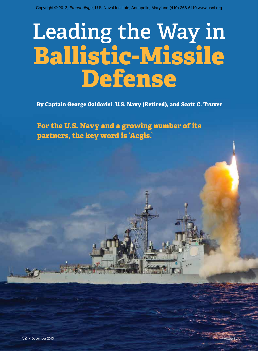# **Leading the Way in Ballistic-Missile Defense**

**By Captain George Galdorisi, U.S. Navy (Retired), and Scott C. Truver**

**For the U.S. Navy and a growing number of its partners, the key word is 'Aegis.'**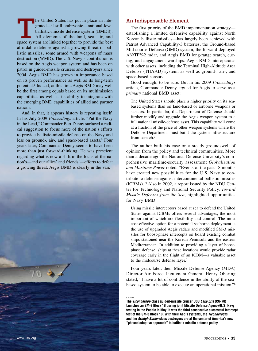The United States has put in place an integrated—if still embryonic—national-level ballistic-missile defense system (BMDS).<br>All elements of the land, sea, air, and space system are linked together to provide the best grated—if still embryonic—national-level ballistic-missile defense system (BMDS). All elements of the land, sea, air, and affordable defense against a growing threat of ballistic missiles, some armed with weapons of mass destruction (WMD). The U.S. Navy's contribution is based on the Aegis weapon system and has been on patrol in guided-missile cruisers and destroyers since 2004. Aegis BMD has grown in importance based on its proven performance as well as its long-term potential.<sup>1</sup> Indeed, at this time Aegis BMD may well be the first among equals based on its multimission capabilities as well as its ability to integrate with the emerging BMD capabilities of allied and partner nations.

And, in that, it appears history is repeating itself. In his July 2009 *Proceedings* article, "Put the Navy in the Lead," Commander Bart Denny surfaced a radical suggestion to focus more of the nation's efforts to provide ballistic-missile defense on the Navy and less on ground-, air-, and space-based assets.<sup>2</sup> Four years later, Commander Denny seems to have been more than just forward-thinking: He was prescient regarding what is now a shift in the focus of the nation's—and our allies' and friends'––efforts to defeat a growing threat. Aegis BMD is clearly in the van.



#### **An Indispensable Element**

The first priority of the BMD implementation strategy establishing a limited defensive capability against North Korean ballistic missiles––has largely been achieved with Patriot Advanced Capability-3 batteries, the Ground-based Mid-course Defense (GMD) system, the forward-deployed AN/TPY-2 radar, and Aegis BMD long-range search, cueing, and engagement warships. Aegis BMD interoperates with other assets, including the Terminal High-Altitude Area Defense (THAAD) system, as well as ground-, air-, and space-based sensors.

Good enough, to be sure. But in his 2009 *Proceedings* article, Commander Denny argued for Aegis to serve as a *primary* national BMD asset:

The United States should place a higher priority on its seabased systems than on land-based or airborne weapons or sensors. In particular, the Department of Defense should further modify and upgrade the Aegis weapon system to a full national missile-defense asset. This capability will come at a fraction of the price of other weapon systems where the Defense Department must build the system infrastructure from scratch.<sup>3</sup>

The author built his case on a steady groundswell of opinion from the policy and technical communities. More than a decade ago, the National Defense University's comprehensive maritime-security assessment *Globalization and Maritime Power* noted, "Events of the past 18 months have created new possibilities for the U.S. Navy to contribute to defense against intercontinental ballistic missiles (ICBMs)."4 Also in 2002, a report issued by the NDU Center for Technology and National Security Policy, *Toward Missile Defenses from the Sea*, highlighted opportunities for Navy BMD:

Using missile interceptors based at sea to defend the United States against ICBMs offers several advantages, the most important of which are flexibility and control. The most cost-effective option for a potential seaborne deployment is the use of upgraded Aegis radars and modified SM-3 missiles for boost-phase intercepts on board existing combat ships stationed near the Korean Peninsula and the eastern Mediterranean. In addition to providing a layer of boostphase defense, ships at these locations would provide radar coverage early in the flight of an ICBM—a valuable asset to the midcourse defense layer.<sup>5</sup>

Four years later, then–Missile Defense Agency (MDA) Director Air Force Lieutenant General Henry Obering stated, "I have a lot of confidence in the ability of the seabased system to be able to execute an operational mission."6

**The** *Ticonderoga***-class guided-missile cruiser USS** *Lake Erie* **(CG-70) launches an SM-3 Block 1B during joint Missile Defense Agency/U.S. Navy testing in the Pacific in May. It was the third consecutive successful intercept test of the SM-3 Block 1B. With their Aegis systems, the** *Ticonderoga***s and the** *Arleigh Burke***–class destroyers are at the center of America's new "phased adaptive approach" to ballistic-missile defense policy.**

u.s. navy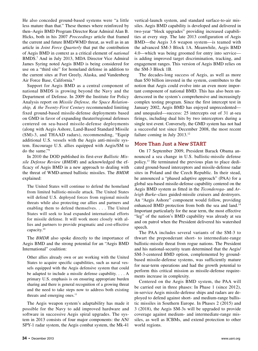He also conceded ground-based systems were "a little less mature than that." These themes where reinforced by then–Aegis BMD Program Director Rear Admiral Alan B. Hicks, both in his 2007 *Proceedings* article that framed the current and future BMD/WMD threat, as well as in an article in *Joint Force Quarterly* that put the contribution of Aegis BMD in context as a critical element of *national* BMDS.7 And in July 2013, MDA Director Vice Admiral James Syring noted Aegis BMD is being considered for use on a "third site" for homeland defense in addition to the current sites at Fort Greely, Alaska, and Vandenberg Air Force Base, California.8

Support for Aegis BMD as a central component of national BMDS is growing beyond the Navy and the Department of Defense. In 2009 the Institute for Policy Analysis report on *Missile Defense, the Space Relationship, & the Twenty-First Century* recommended limiting fixed ground-based missile-defense deployments based on GMD in favor of expanding theater/regional defenses centered on sea-based missile-defense deployments (along with Aegis Ashore, Land-Based Standard Missile (SM)-3, and THAAD radars), recommending, "Equip additional U.S. vessels with the Aegis anti-missile system. Encourage U.S. allies equipped with Aegis/SM to do the same."9

In 2010 the DOD published its first-ever *Ballistic Missile Defense Review* (*BMDR*) and acknowledged the efficacy of Aegis BMD in a new approach to dealing with the threat of WMD-armed ballistic missiles. The *BMDR* explained:

The United States will continue to defend the homeland from limited ballistic-missile attack. The United States will defend U.S. deployed forces from regional missile threats while also protecting our allies and partners and enabling them to defend themselves. . . . The United States will seek to lead expanded international efforts for missile defense. It will work more closely with allies and partners to provide pragmatic and cost-effective capacity.10

The *BMDR* also spoke directly to the importance of Aegis BMD and the strong potential for an "Aegis BMD International" coalition:

Other allies already own or are working with the United States to acquire specific capabilities, such as naval vessels equipped with the Aegis defensive system that could be adapted to include a missile defense capability. . . . A primary U.S. emphasis is on ensuring appropriate burden sharing and there is general recognition of a growing threat and the need to take steps now to address both existing threats and emerging ones.<sup>11</sup>

The Aegis weapon system's adaptability has made it possible for the Navy to add improved hardware and software in successive Aegis spiral upgrades. The system in 2013 consists of four major components: the AN/ SPY-1 radar system, the Aegis combat system, the Mk-41

vertical-launch system, and standard surface-to-air missiles. Aegis BMD capability is developed and delivered in two-year "block upgrades" providing increased capabilities at every step. The late 2013 configuration of Aegis BMD––the Aegis 3.6 weapon system––is teamed with the advanced SM-3 Block 1A. Meanwhile, Aegis BMD 4.0––which was being groomed for entry into service–– is adding improved target discrimination, tracking, and engagement ranges. This version of Aegis BMD relies on the SM-3 Block 1B.

The decades-long success of Aegis, as well as more than \$50 billion invested in the system, contributes to the notion that Aegis could evolve into an even more important component of national BMD. This has also been underscored in the system's comprehensive and increasingly complex testing program. Since the first intercept test in January 2002, Aegis BMD has enjoyed unprecedented–– and unequaled––success: 25 intercepts out of 31 at-sea firings, including dual hits by two interceptors during a single test event. Conversely, the GMD system has not had a successful test since December 2008, the most recent failure coming in July 2013.<sup>12</sup>

# **More Than Just a New START**

On 17 September 2009, President Barack Obama announced a sea change in U.S. ballistic-missile defense policy.13 He terminated the previous plan to place dedicated ground-based interceptors and missile-defense radar sites in Poland and the Czech Republic. In their stead, he announced a "phased adaptive approach" (PAA) for a global sea-based missile-defense capability centered on the Aegis BMD system as fitted in the *Ticonderoga*- and *Arleigh Burke*–class guided-missile cruisers and destroyers. An "Aegis Ashore" component would follow, providing enhanced BMD protection from both the sea and land.<sup>14</sup> Important particularly for the near term, the most effective "leg" of the nation's BMD capability was already at sea and on patrol when the President delivered his watershed speech.

The PAA includes several variants of the SM-3 to thwart the preponderant short- to intermediate-range ballistic-missile threat from rogue nations. The President and his national-security team determined that the Aegis/ SM-3-centered BMD option, complemented by groundbased missile-defense systems, was sufficiently mature for near-term operations and had the growth potential to perform this critical mission as missile-defense requirements increase in complexity.

Centered on the Aegis BMD system, the PAA will be carried out in three phases: In Phase 1 (since 2012), in-service Aegis missile-defense ships and radars are deployed to defend against short- and medium-range ballistic missiles in Southern Europe. In Phases 2 (2015) and 3 (2018), the Aegis SM-3s will be upgraded to provide coverage against medium- and intermediate-range missiles, as well as ICBMs, and extend protection to other world regions.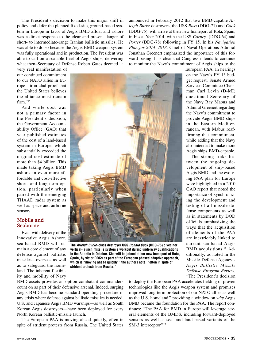The President's decision to make this major shift in policy and defer the planned fixed-site, ground-based system in Europe in favor of Aegis BMD afloat and ashore was a direct response to the clear and present danger of short- to intermediate-range Iranian ballistic missiles. He was able to do so because the Aegis BMD weapon system was fully operational and in production. The President was able to call on a scalable fleet of Aegis ships, delivering what then–Secretary of Defense Robert Gates deemed "a announced in February 2012 that two BMD-capable *Arleigh Burke* destroyers, the USS *Ross* (DDG-71) and *Cook* (DDG-75), will arrive at their new homeport of Rota, Spain, in Fiscal Year 2014, with the USS *Carney* (DDG-64) and *Porter* (DDG-78) following in FY 15. In his *Navigation Plan for 2014–2018*, Chief of Naval Operations Admiral Jonathan Greenert emphasized the importance of this forward basing. It is clear that Congress intends to continue to monitor the Navy's commitment of Aegis ships to the

very real manifestation of our continued commitment to our NATO allies in Europe––iron-clad proof that the United States believes the alliance must remain  $firm.$ "<sup>15</sup>

And while cost was not a primary factor in the President's decision, the Government Accountability Office (GAO) that year published estimates of the cost of a land-based system in Europe, which substantially exceeded the original cost estimate of more than \$4 billion. This made taking Aegis BMD ashore an even more affordable and cost-effective short- and long-term option, particularly when paired with the emerging THAAD radar system as well as space and airborne sensors.

#### **Mobile and Seaborne**

Even with delivery of the innovative Aegis Ashore, sea-based BMD will remain a core element of any defense against ballistic missiles—overseas as well as to safeguard the homeland. The inherent flexibility and mobility of Navy



**The** *Arleigh Burke***–class destroyer USS** *Donald Cook* **(DDG-75) gives her vertical-launch missile system a workout during underway qualifications in the Atlantic in October. She will be joined at her new homeport of Rota, Spain, by sister DDGs as part of the European phased adaptive approach, which is "moving ahead quickly," the authors note, "often in spite of strident protests from Russia."**

BMD assets provides an option combatant commanders count on as part of their defensive arsenal. Indeed, surging Aegis BMD has become standard operating procedure in any crisis where defense against ballistic missiles is needed. U.S. and Japanese Aegis BMD warships––as well as South Korean Aegis destroyers––have been deployed for every North Korean ballistic-missile launch.

The European PAA is moving ahead quickly, often in spite of strident protests from Russia. The United States

ways that the acquisition of elements of the PAA are inextricably linked to current sea-based Aegis BMD acquisitions.<sup>16</sup> Additionally, as noted in the Missile Defense Agency's *Aegis Ballistic Missile Defense Program Review*, "The President's decision to deploy the European PAA accelerates fielding of proven technologies like the Aegis weapon system and promises

improved long-term protection of our NATO allies as well as the U.S. homeland," providing a window on *why* Aegis BMD became the foundation for the PAA. The report continues: "The PAA for BMD in Europe will leverage several elements of the BMDS, including forward-deployed sensors as well as sea- and land-based variants of the SM-3 interceptor."17

European PAA. In hearings on the Navy's FY 13 budget request, Senate Armed Services Committee Chairman Carl Levin (D-MI) questioned Secretary of the Navy Ray Mabus and Admiral Greenert regarding the Navy's commitment to provide Aegis BMD ships in the Eastern Mediterranean, with Mabus reaffirming that commitment, while adding that the Navy also intended to make more Aegis ships BMD-capable.

The strong links between the ongoing development of ship-based Aegis BMD and the evolving PAA plan for Europe were highlighted in a 2010 GAO report that noted the importance of synchronizing the development and testing of all missile-defense components as well as in statements by DOD officials emphasizing the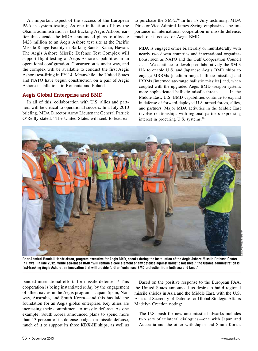An important aspect of the success of the European PAA is system-testing. As one indication of how the Obama administration is fast-tracking Aegis Ashore, earlier this decade the MDA announced plans to allocate \$428 million to an Aegis Ashore test site at the Pacific Missile Range Facility in Barking Sands, Kauai, Hawaii. The Aegis Ashore Missile Defense Test Complex will support flight-testing of Aegis Ashore capabilities in an operational configuration. Construction is under way, and the complex will be available to conduct the first Aegis Ashore test-firing in FY 14. Meanwhile, the United States and NATO have begun construction on a pair of Aegis Ashore installations in Romania and Poland.

# **Aegis Global Enterprise and BMD**

In all of this, collaboration with U.S. allies and partners will be critical to operational success. In a July 2010 briefing, MDA Director Army Lieutenant General Patrick O'Reilly stated, "The United States will seek to lead exto purchase the SM-2.<sup>19</sup> In his 17 July testimony, MDA Director Vice Admiral James Syring emphasized the importance of international cooperation in missile defense, much of it focused on Aegis BMD:

MDA is engaged either bilaterally or multilaterally with nearly two dozen countries and international organizations, such as NATO and the Gulf Cooperation Council . . . . We continue to develop collaboratively the SM-3 IIA to enable U.S. and Japanese Aegis BMD ships to engage MRBMs [medium-range ballistic missiles] and IRBMs [intermediate-range ballistic missiles] and, when coupled with the upgraded Aegis BMD weapon system, more sophisticated ballistic missile threats. . . . In the Middle East, U.S. BMD capabilities continue to expand in defense of forward-deployed U.S. armed forces, allies, and partners. Major MDA activities in the Middle East involve relationships with regional partners expressing interest in procuring U.S. systems.<sup>20</sup>



**Rear Admiral Randall Hendrickson, program executive for Aegis BMD, speaks during the installation of the Aegis Ashore Missile Defense Center in Hawaii in late 2012. While sea-based BMD "will remain a core element of any defense against ballistic missiles," the Obama administration is fast-tracking Aegis Ashore, an innovation that will provide further "enhanced BMD protection from both sea and land."**

panded international efforts for missile defense."18 This cooperation is being instantiated *today* by the engagement of allied navies in the Aegis program––Japan, Spain, Norway, Australia, and South Korea––and this has laid the foundation for an Aegis global enterprise. Key allies are increasing their commitment to missile defense. As one example, South Korea announced plans to spend more than 13 percent of its defense budget on missile defense, much of it to support its three KDX-III ships, as well as

Based on the positive response to the European PAA, the United States announced its desire to build regional missile shields in Asia and the Middle East, with the U.S. Assistant Secretary of Defense for Global Strategic Affairs Madelyn Creedon noting:

The U.S. push for new anti-missile bulwarks includes two sets of trilateral dialogues—one with Japan and Australia and the other with Japan and South Korea.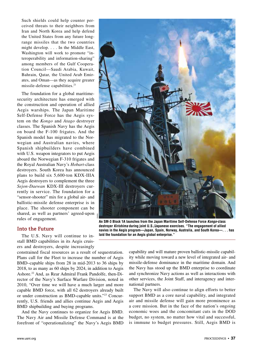Such shields could help counter perceived threats to their neighbors from Iran and North Korea and help defend the United States from any future longrange missiles that the two countries might develop. . . . In the Middle East, Washington will work to promote "interoperability and information-sharing" among members of the Gulf Cooperation Council––Saudi Arabia, Kuwait, Bahrain, Qatar, the United Arab Emirates, and Oman––as they acquire greater missile-defense capabilities.21

The foundation for a global maritimesecurity architecture has emerged with the construction and operation of allied Aegis warships. The Japan Maritime Self-Defense Force has the Aegis system on the *Kongo* and *Atago* destroyer classes. The Spanish Navy has the Aegis on board the F-100 frigates. And the Spanish model has migrated to the Norwegian and Australian navies, where Spanish shipbuilders have combined with U.S. weapon integrators to put Aegis aboard the Norwegian F-310 frigates and the Royal Australian Navy's *Hobart*-class destroyers. South Korea has announced plans to build six 5,600-ton KDX-IIIA Aegis destroyers to complement the three *Sejon-Daewan* KDX-III destroyers currently in service. The foundation for a "sensor-shooter" mix for a global air- and ballistic-missile defense enterprise is in place. The shooter component can be shared, as well as partners' agreed-upon rules of engagement.

# **Into the Future**

The U.S. Navy will continue to install BMD capabilities in its Aegis cruisers and destroyers, despite increasingly

constrained fiscal resources as a result of sequestration. Plans call for the Fleet to increase the number of Aegis BMD–capable ships from 28 in mid-2013 to 36 ships by 2018, to as many as 60 ships by 2024, in addition to Aegis Ashore.22 And, as Rear Admiral Frank Pandolfe, then-Director of the Navy's Surface Warfare Division, noted in 2010, "Over time we will have a much larger and more capable BMD force, with all 62 destroyers already built or under construction as BMD-capable units."23 Concurrently, U.S. friends and allies continue Aegis and Aegis BMD shipbuilding and buying programs.

And the Navy continues to organize for Aegis BMD. The Navy Air and Missile Defense Command is at the forefront of "operationalizing" the Navy's Aegis BMD



**An SM-3 Block 1A launches from the Japan Maritime Self-Defense Force** *Kongo***-class destroyer** *Kirishima* **during joint U.S./Japanese exercises. "The engagement of allied navies in the Aegis program—Japan, Spain, Norway, Australia, and South Korea—. . . has laid the foundation for an Aegis global enterprise."**

capability and will mature proven ballistic-missile capability while moving toward a new level of integrated air- and missile-defense dominance in the maritime domain. And the Navy has stood up the BMD enterprise to coordinate and synchronize Navy actions as well as interactions with other services, the Joint Staff, and interagency and international partners.

The Navy will also continue to align efforts to better support BMD as a core naval capability, and integrated air and missile defense will gain more prominence as a core mission. But in the face of the nation's ongoing economic woes and the concomitant cuts in the DOD budget, no system, no matter how vital and successful, is immune to budget pressures. Still, Aegis BMD is